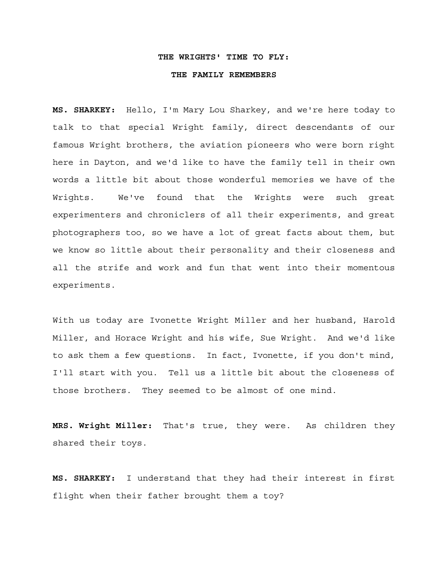#### **THE WRIGHTS' TIME TO FLY:**

#### **THE FAMILY REMEMBERS**

**MS. SHARKEY:** Hello, I'm Mary Lou Sharkey, and we're here today to talk to that special Wright family, direct descendants of our famous Wright brothers, the aviation pioneers who were born right here in Dayton, and we'd like to have the family tell in their own words a little bit about those wonderful memories we have of the Wrights. We've found that the Wrights were such great experimenters and chroniclers of all their experiments, and great photographers too, so we have a lot of great facts about them, but we know so little about their personality and their closeness and all the strife and work and fun that went into their momentous experiments.

With us today are Ivonette Wright Miller and her husband, Harold Miller, and Horace Wright and his wife, Sue Wright. And we'd like to ask them a few questions. In fact, Ivonette, if you don't mind, I'll start with you. Tell us a little bit about the closeness of those brothers. They seemed to be almost of one mind.

**MRS. Wright Miller:** That's true, they were. As children they shared their toys.

**MS. SHARKEY:** I understand that they had their interest in first flight when their father brought them a toy?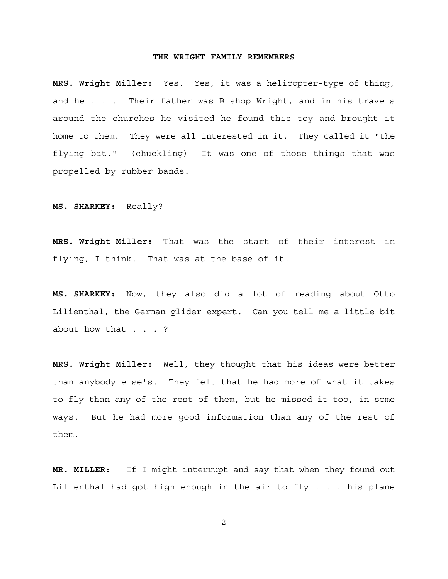**MRS. Wright Miller:** Yes. Yes, it was a helicopter-type of thing, and he . . . Their father was Bishop Wright, and in his travels around the churches he visited he found this toy and brought it home to them. They were all interested in it. They called it "the flying bat." (chuckling) It was one of those things that was propelled by rubber bands.

**MS. SHARKEY:** Really?

**MRS. Wright Miller:** That was the start of their interest in flying, I think. That was at the base of it.

**MS. SHARKEY:** Now, they also did a lot of reading about Otto Lilienthal, the German glider expert. Can you tell me a little bit about how that . . . ?

**MRS. Wright Miller:** Well, they thought that his ideas were better than anybody else's. They felt that he had more of what it takes to fly than any of the rest of them, but he missed it too, in some ways. But he had more good information than any of the rest of them.

**MR. MILLER:** If I might interrupt and say that when they found out Lilienthal had got high enough in the air to fly . . . his plane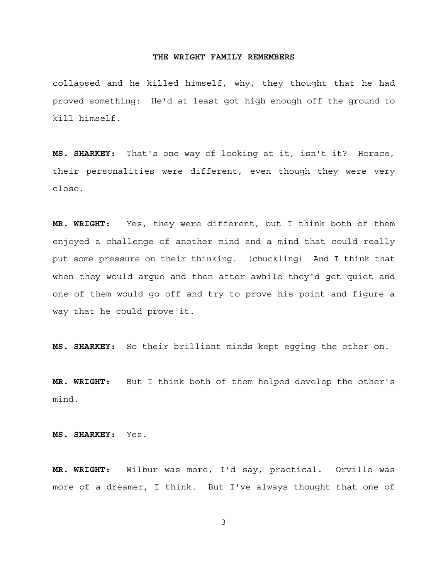collapsed and he killed himself, why, they thought that he had proved something: He'd at least got high enough off the ground to kill himself.

**MS. SHARKEY:** That's one way of looking at it, isn't it? Horace, their personalities were different, even though they were very close.

**MR. WRIGHT:** Yes, they were different, but I think both of them enjoyed a challenge of another mind and a mind that could really put some pressure on their thinking. (chuckling) And I think that when they would argue and then after awhile they'd get quiet and one of them would go off and try to prove his point and figure a way that he could prove it.

**MS. SHARKEY:** So their brilliant minds kept egging the other on.

**MR. WRIGHT:** But I think both of them helped develop the other's mind.

**MS. SHARKEY:** Yes.

**MR. WRIGHT:** Wilbur was more, I'd say, practical. Orville was more of a dreamer, I think. But I've always thought that one of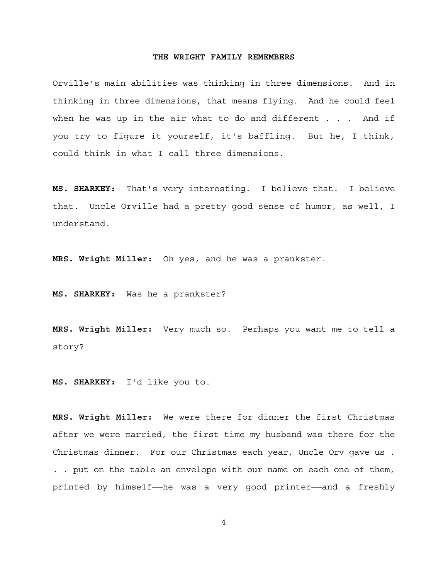Orville's main abilities was thinking in three dimensions. And in thinking in three dimensions, that means flying. And he could feel when he was up in the air what to do and different  $\ldots$  . And if you try to figure it yourself, it's baffling. But he, I think, could think in what I call three dimensions.

**MS. SHARKEY:** That's very interesting. I believe that. I believe that. Uncle Orville had a pretty good sense of humor, as well, I understand.

**MRS. Wright Miller:** Oh yes, and he was a prankster.

**MS. SHARKEY:** Was he a prankster?

**MRS. Wright Miller:** Very much so. Perhaps you want me to tell a story?

**MS. SHARKEY:** I'd like you to.

**MRS. Wright Miller:** We were there for dinner the first Christmas after we were married, the first time my husband was there for the Christmas dinner. For our Christmas each year, Uncle Orv gave us . . . put on the table an envelope with our name on each one of them, printed by himself--he was a very good printer--and a freshly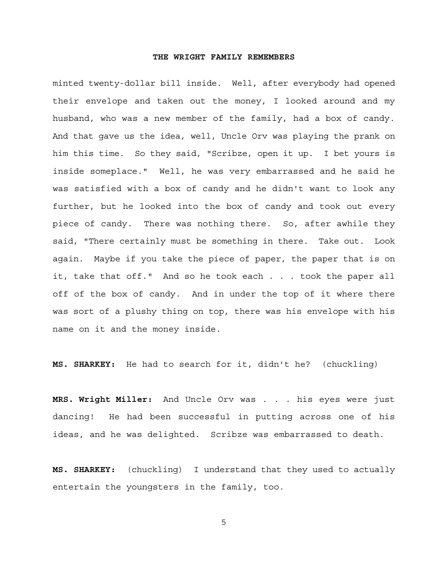minted twenty-dollar bill inside. Well, after everybody had opened their envelope and taken out the money, I looked around and my husband, who was a new member of the family, had a box of candy. And that gave us the idea, well, Uncle Orv was playing the prank on him this time. So they said, "Scribze, open it up. I bet yours is inside someplace." Well, he was very embarrassed and he said he was satisfied with a box of candy and he didn't want to look any further, but he looked into the box of candy and took out every piece of candy. There was nothing there. So, after awhile they said, "There certainly must be something in there. Take out. Look again. Maybe if you take the piece of paper, the paper that is on it, take that off." And so he took each . . . took the paper all off of the box of candy. And in under the top of it where there was sort of a plushy thing on top, there was his envelope with his name on it and the money inside.

**MS. SHARKEY:** He had to search for it, didn't he? (chuckling)

**MRS. Wright Miller:** And Uncle Orv was . . . his eyes were just dancing! He had been successful in putting across one of his ideas, and he was delighted. Scribze was embarrassed to death.

**MS. SHARKEY:** (chuckling) I understand that they used to actually entertain the youngsters in the family, too.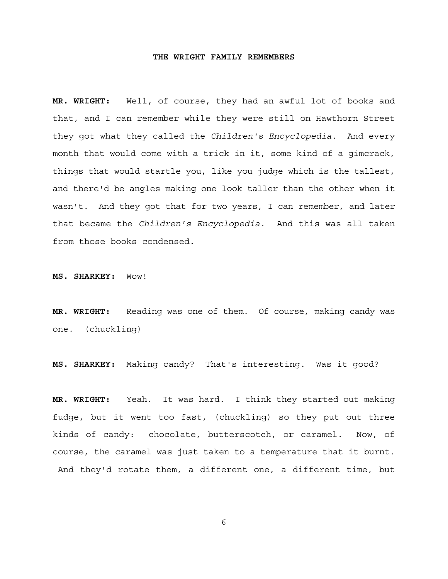**MR. WRIGHT:** Well, of course, they had an awful lot of books and that, and I can remember while they were still on Hawthorn Street they got what they called the *Children's Encyclopedia*. And every month that would come with a trick in it, some kind of a gimcrack, things that would startle you, like you judge which is the tallest, and there'd be angles making one look taller than the other when it wasn't. And they got that for two years, I can remember, and later that became the *Children's Encyclopedia*. And this was all taken from those books condensed.

**MS. SHARKEY:** Wow!

**MR. WRIGHT:** Reading was one of them. Of course, making candy was one. (chuckling)

**MS. SHARKEY:** Making candy? That's interesting. Was it good?

**MR. WRIGHT:** Yeah. It was hard. I think they started out making fudge, but it went too fast, (chuckling) so they put out three kinds of candy: chocolate, butterscotch, or caramel. Now, of course, the caramel was just taken to a temperature that it burnt. And they'd rotate them, a different one, a different time, but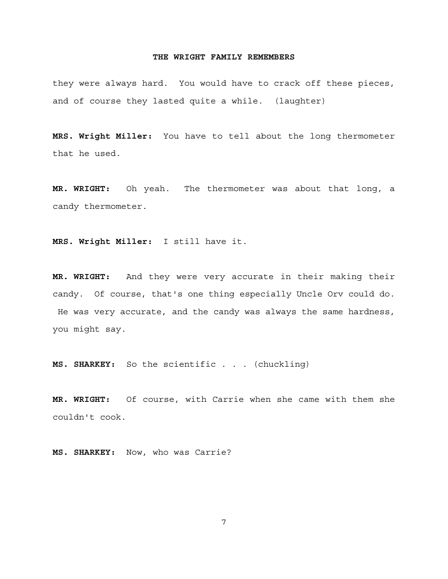they were always hard. You would have to crack off these pieces, and of course they lasted quite a while. (laughter)

**MRS. Wright Miller:** You have to tell about the long thermometer that he used.

**MR. WRIGHT:** Oh yeah. The thermometer was about that long, a candy thermometer.

**MRS. Wright Miller:** I still have it.

**MR. WRIGHT:** And they were very accurate in their making their candy. Of course, that's one thing especially Uncle Orv could do. He was very accurate, and the candy was always the same hardness, you might say.

**MS. SHARKEY:** So the scientific . . . (chuckling)

**MR. WRIGHT:** Of course, with Carrie when she came with them she couldn't cook.

**MS. SHARKEY:** Now, who was Carrie?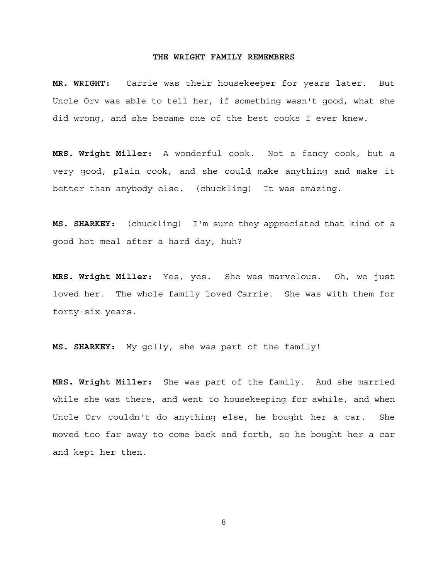**MR. WRIGHT:** Carrie was their housekeeper for years later. But Uncle Orv was able to tell her, if something wasn't good, what she did wrong, and she became one of the best cooks I ever knew.

**MRS. Wright Miller:** A wonderful cook. Not a fancy cook, but a very good, plain cook, and she could make anything and make it better than anybody else. (chuckling) It was amazing.

**MS. SHARKEY:** (chuckling) I'm sure they appreciated that kind of a good hot meal after a hard day, huh?

**MRS. Wright Miller:** Yes, yes. She was marvelous. Oh, we just loved her. The whole family loved Carrie. She was with them for forty-six years.

**MS. SHARKEY:** My golly, she was part of the family!

**MRS. Wright Miller:** She was part of the family. And she married while she was there, and went to housekeeping for awhile, and when Uncle Orv couldn't do anything else, he bought her a car. She moved too far away to come back and forth, so he bought her a car and kept her then.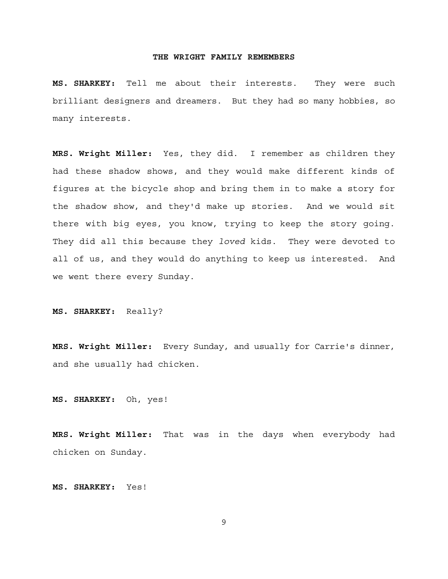**MS. SHARKEY:** Tell me about their interests. They were such brilliant designers and dreamers. But they had so many hobbies, so many interests.

**MRS. Wright Miller:** Yes, they did. I remember as children they had these shadow shows, and they would make different kinds of figures at the bicycle shop and bring them in to make a story for the shadow show, and they'd make up stories. And we would sit there with big eyes, you know, trying to keep the story going. They did all this because they *loved* kids. They were devoted to all of us, and they would do anything to keep us interested. And we went there every Sunday.

**MS. SHARKEY:** Really?

**MRS. Wright Miller:** Every Sunday, and usually for Carrie's dinner, and she usually had chicken.

**MS. SHARKEY:** Oh, yes!

**MRS. Wright Miller:** That was in the days when everybody had chicken on Sunday.

**MS. SHARKEY:** Yes!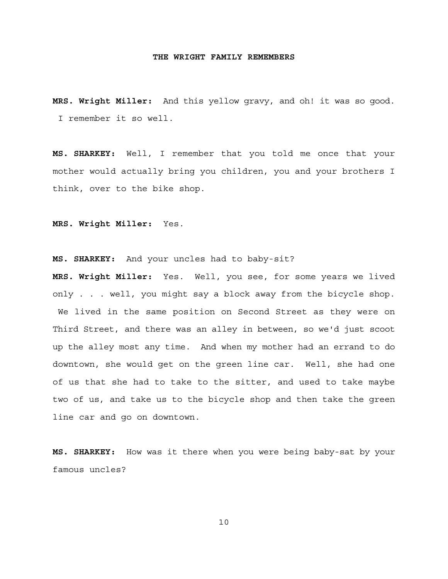**MRS. Wright Miller:** And this yellow gravy, and oh! it was so good. I remember it so well.

**MS. SHARKEY:** Well, I remember that you told me once that your mother would actually bring you children, you and your brothers I think, over to the bike shop.

**MRS. Wright Miller:** Yes.

**MS. SHARKEY:** And your uncles had to baby-sit?

**MRS. Wright Miller:** Yes. Well, you see, for some years we lived only . . . well, you might say a block away from the bicycle shop. We lived in the same position on Second Street as they were on Third Street, and there was an alley in between, so we'd just scoot up the alley most any time. And when my mother had an errand to do downtown, she would get on the green line car. Well, she had one of us that she had to take to the sitter, and used to take maybe two of us, and take us to the bicycle shop and then take the green line car and go on downtown.

**MS. SHARKEY:** How was it there when you were being baby-sat by your famous uncles?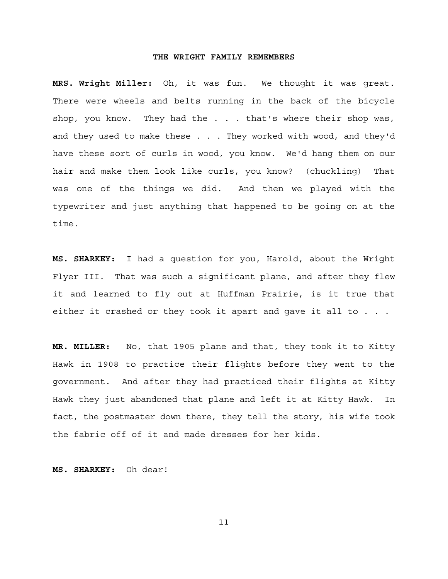**MRS. Wright Miller:** Oh, it was fun. We thought it was great. There were wheels and belts running in the back of the bicycle shop, you know. They had the . . . that's where their shop was, and they used to make these . . . They worked with wood, and they'd have these sort of curls in wood, you know. We'd hang them on our hair and make them look like curls, you know? (chuckling) That was one of the things we did. And then we played with the typewriter and just anything that happened to be going on at the time.

**MS. SHARKEY:** I had a question for you, Harold, about the Wright Flyer III. That was such a significant plane, and after they flew it and learned to fly out at Huffman Prairie, is it true that either it crashed or they took it apart and gave it all to . . .

**MR. MILLER:** No, that 1905 plane and that, they took it to Kitty Hawk in 1908 to practice their flights before they went to the government. And after they had practiced their flights at Kitty Hawk they just abandoned that plane and left it at Kitty Hawk. In fact, the postmaster down there, they tell the story, his wife took the fabric off of it and made dresses for her kids.

**MS. SHARKEY:** Oh dear!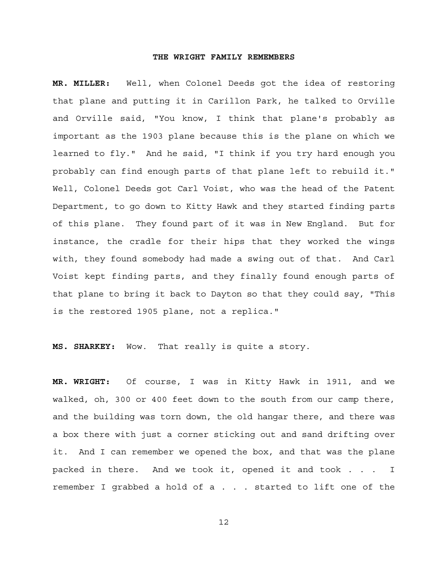**MR. MILLER:** Well, when Colonel Deeds got the idea of restoring that plane and putting it in Carillon Park, he talked to Orville and Orville said, "You know, I think that plane's probably as important as the 1903 plane because this is the plane on which we learned to fly." And he said, "I think if you try hard enough you probably can find enough parts of that plane left to rebuild it." Well, Colonel Deeds got Carl Voist, who was the head of the Patent Department, to go down to Kitty Hawk and they started finding parts of this plane. They found part of it was in New England. But for instance, the cradle for their hips that they worked the wings with, they found somebody had made a swing out of that. And Carl Voist kept finding parts, and they finally found enough parts of that plane to bring it back to Dayton so that they could say, "This is the restored 1905 plane, not a replica."

**MS. SHARKEY:** Wow. That really is quite a story.

**MR. WRIGHT:** Of course, I was in Kitty Hawk in 1911, and we walked, oh, 300 or 400 feet down to the south from our camp there, and the building was torn down, the old hangar there, and there was a box there with just a corner sticking out and sand drifting over it. And I can remember we opened the box, and that was the plane packed in there. And we took it, opened it and took . . . I remember I grabbed a hold of a . . . started to lift one of the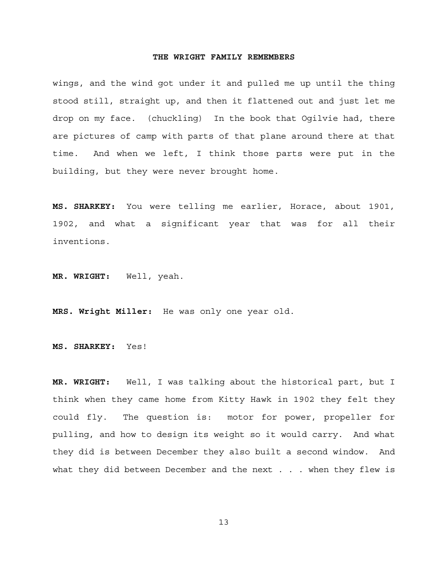wings, and the wind got under it and pulled me up until the thing stood still, straight up, and then it flattened out and just let me drop on my face. (chuckling) In the book that Ogilvie had, there are pictures of camp with parts of that plane around there at that time. And when we left, I think those parts were put in the building, but they were never brought home.

**MS. SHARKEY:** You were telling me earlier, Horace, about 1901, 1902, and what a significant year that was for all their inventions.

**MR. WRIGHT:** Well, yeah.

**MRS. Wright Miller:** He was only one year old.

**MS. SHARKEY:** Yes!

**MR. WRIGHT:** Well, I was talking about the historical part, but I think when they came home from Kitty Hawk in 1902 they felt they could fly. The question is: motor for power, propeller for pulling, and how to design its weight so it would carry. And what they did is between December they also built a second window. And what they did between December and the next . . . when they flew is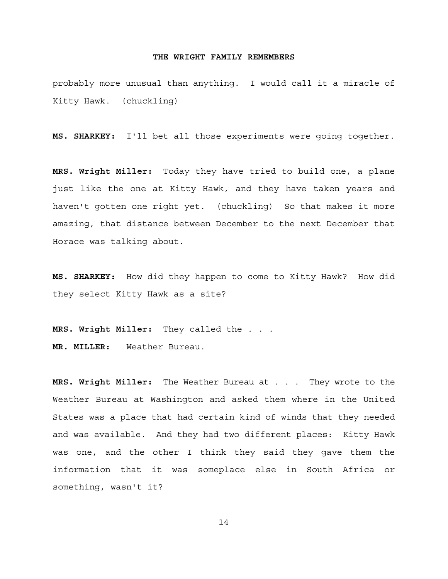probably more unusual than anything. I would call it a miracle of Kitty Hawk. (chuckling)

**MS. SHARKEY:** I'll bet all those experiments were going together.

**MRS. Wright Miller:** Today they have tried to build one, a plane just like the one at Kitty Hawk, and they have taken years and haven't gotten one right yet. (chuckling) So that makes it more amazing, that distance between December to the next December that Horace was talking about.

**MS. SHARKEY:** How did they happen to come to Kitty Hawk? How did they select Kitty Hawk as a site?

**MRS. Wright Miller:** They called the . . . **MR. MILLER:** Weather Bureau.

**MRS. Wright Miller:** The Weather Bureau at . . . They wrote to the Weather Bureau at Washington and asked them where in the United States was a place that had certain kind of winds that they needed and was available. And they had two different places: Kitty Hawk was one, and the other I think they said they gave them the information that it was someplace else in South Africa or something, wasn't it?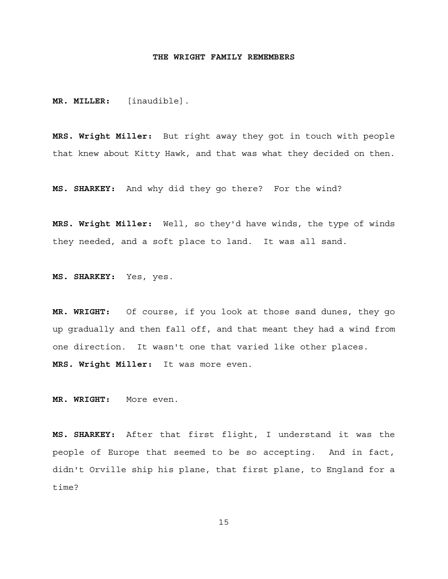**MR. MILLER:** [inaudible].

**MRS. Wright Miller:** But right away they got in touch with people that knew about Kitty Hawk, and that was what they decided on then.

**MS. SHARKEY:** And why did they go there? For the wind?

**MRS. Wright Miller:** Well, so they'd have winds, the type of winds they needed, and a soft place to land. It was all sand.

**MS. SHARKEY:** Yes, yes.

**MR. WRIGHT:** Of course, if you look at those sand dunes, they go up gradually and then fall off, and that meant they had a wind from one direction. It wasn't one that varied like other places. **MRS. Wright Miller:** It was more even.

**MR. WRIGHT:** More even.

**MS. SHARKEY:** After that first flight, I understand it was the people of Europe that seemed to be so accepting. And in fact, didn't Orville ship his plane, that first plane, to England for a time?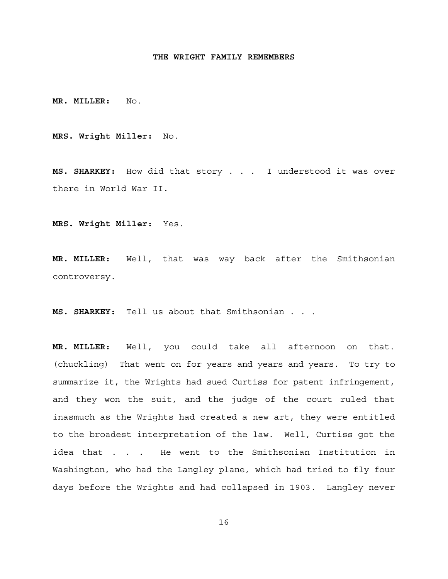**MR. MILLER:** No.

**MRS. Wright Miller:** No.

**MS. SHARKEY:** How did that story . . . I understood it was over there in World War II.

**MRS. Wright Miller:** Yes.

**MR. MILLER:** Well, that was way back after the Smithsonian controversy.

**MS. SHARKEY:** Tell us about that Smithsonian . . .

**MR. MILLER:** Well, you could take all afternoon on that. (chuckling) That went on for years and years and years. To try to summarize it, the Wrights had sued Curtiss for patent infringement, and they won the suit, and the judge of the court ruled that inasmuch as the Wrights had created a new art, they were entitled to the broadest interpretation of the law. Well, Curtiss got the idea that . . . He went to the Smithsonian Institution in Washington, who had the Langley plane, which had tried to fly four days before the Wrights and had collapsed in 1903. Langley never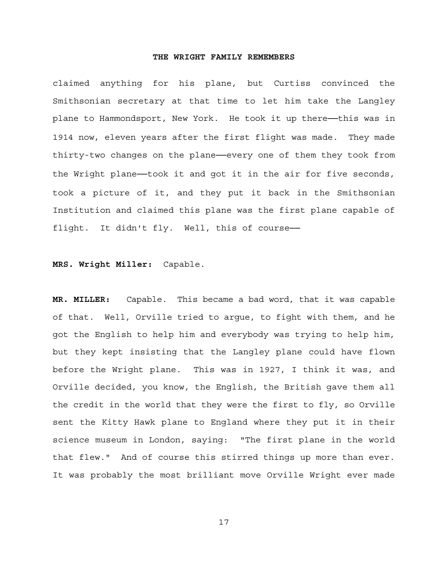claimed anything for his plane, but Curtiss convinced the Smithsonian secretary at that time to let him take the Langley plane to Hammondsport, New York. He took it up there---this was in 1914 now, eleven years after the first flight was made. They made thirty-two changes on the plane──every one of them they took from the Wright plane—took it and got it in the air for five seconds, took a picture of it, and they put it back in the Smithsonian Institution and claimed this plane was the first plane capable of flight. It didn't fly. Well, this of course-

# **MRS. Wright Miller:** Capable.

**MR. MILLER:** Capable. This became a bad word, that it was capable of that. Well, Orville tried to argue, to fight with them, and he got the English to help him and everybody was trying to help him, but they kept insisting that the Langley plane could have flown before the Wright plane. This was in 1927, I think it was, and Orville decided, you know, the English, the British gave them all the credit in the world that they were the first to fly, so Orville sent the Kitty Hawk plane to England where they put it in their science museum in London, saying: "The first plane in the world that flew." And of course this stirred things up more than ever. It was probably the most brilliant move Orville Wright ever made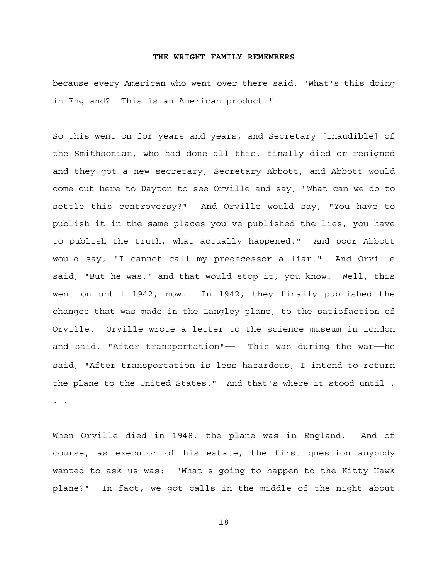because every American who went over there said, "What's this doing in England? This is an American product."

So this went on for years and years, and Secretary [inaudible] of the Smithsonian, who had done all this, finally died or resigned and they got a new secretary, Secretary Abbott, and Abbott would come out here to Dayton to see Orville and say, "What can we do to settle this controversy?" And Orville would say, "You have to publish it in the same places you've published the lies, you have to publish the truth, what actually happened." And poor Abbott would say, "I cannot call my predecessor a liar." And Orville said, "But he was," and that would stop it, you know. Well, this went on until 1942, now. In 1942, they finally published the changes that was made in the Langley plane, to the satisfaction of Orville. Orville wrote a letter to the science museum in London and said, "After transportation"— This was during the war—he said, "After transportation is less hazardous, I intend to return the plane to the United States." And that's where it stood until . . .

When Orville died in 1948, the plane was in England. And of course, as executor of his estate, the first question anybody wanted to ask us was: "What's going to happen to the Kitty Hawk plane?" In fact, we got calls in the middle of the night about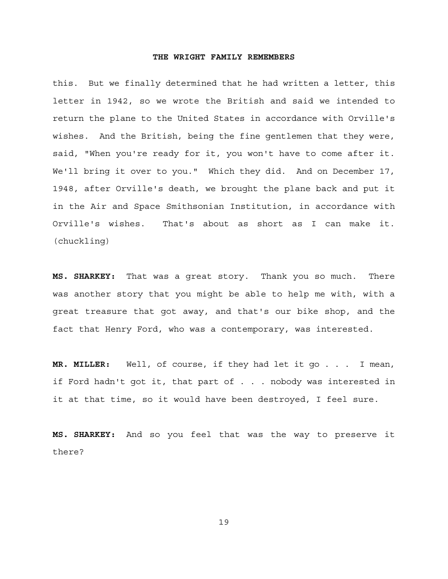this. But we finally determined that he had written a letter, this letter in 1942, so we wrote the British and said we intended to return the plane to the United States in accordance with Orville's wishes. And the British, being the fine gentlemen that they were, said, "When you're ready for it, you won't have to come after it. We'll bring it over to you." Which they did. And on December 17, 1948, after Orville's death, we brought the plane back and put it in the Air and Space Smithsonian Institution, in accordance with Orville's wishes. That's about as short as I can make it. (chuckling)

**MS. SHARKEY:** That was a great story. Thank you so much. There was another story that you might be able to help me with, with a great treasure that got away, and that's our bike shop, and the fact that Henry Ford, who was a contemporary, was interested.

**MR. MILLER:** Well, of course, if they had let it go . . . I mean, if Ford hadn't got it, that part of . . . nobody was interested in it at that time, so it would have been destroyed, I feel sure.

**MS. SHARKEY:** And so you feel that was the way to preserve it there?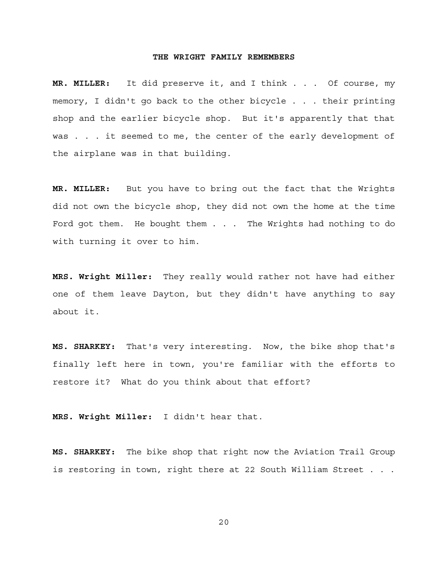**MR. MILLER:** It did preserve it, and I think . . . Of course, my memory, I didn't go back to the other bicycle . . . their printing shop and the earlier bicycle shop. But it's apparently that that was . . . it seemed to me, the center of the early development of the airplane was in that building.

**MR. MILLER:** But you have to bring out the fact that the Wrights did not own the bicycle shop, they did not own the home at the time Ford got them. He bought them . . . The Wrights had nothing to do with turning it over to him.

**MRS. Wright Miller:** They really would rather not have had either one of them leave Dayton, but they didn't have anything to say about it.

**MS. SHARKEY:** That's very interesting. Now, the bike shop that's finally left here in town, you're familiar with the efforts to restore it? What do you think about that effort?

**MRS. Wright Miller:** I didn't hear that.

**MS. SHARKEY:** The bike shop that right now the Aviation Trail Group is restoring in town, right there at 22 South William Street . . .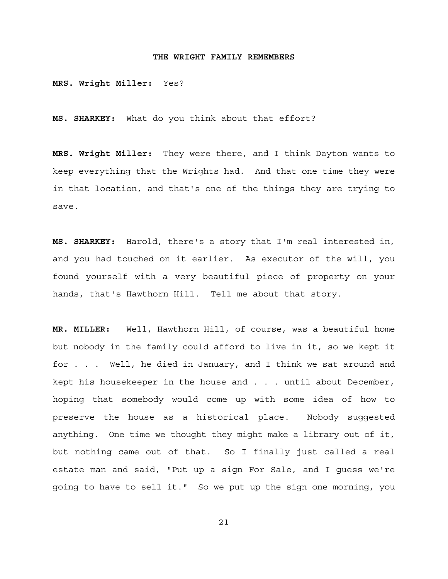**MRS. Wright Miller:** Yes?

**MS. SHARKEY:** What do you think about that effort?

**MRS. Wright Miller:** They were there, and I think Dayton wants to keep everything that the Wrights had. And that one time they were in that location, and that's one of the things they are trying to save.

**MS. SHARKEY:** Harold, there's a story that I'm real interested in, and you had touched on it earlier. As executor of the will, you found yourself with a very beautiful piece of property on your hands, that's Hawthorn Hill. Tell me about that story.

**MR. MILLER:** Well, Hawthorn Hill, of course, was a beautiful home but nobody in the family could afford to live in it, so we kept it for . . . Well, he died in January, and I think we sat around and kept his housekeeper in the house and . . . until about December, hoping that somebody would come up with some idea of how to preserve the house as a historical place. Nobody suggested anything. One time we thought they might make a library out of it, but nothing came out of that. So I finally just called a real estate man and said, "Put up a sign For Sale, and I guess we're going to have to sell it." So we put up the sign one morning, you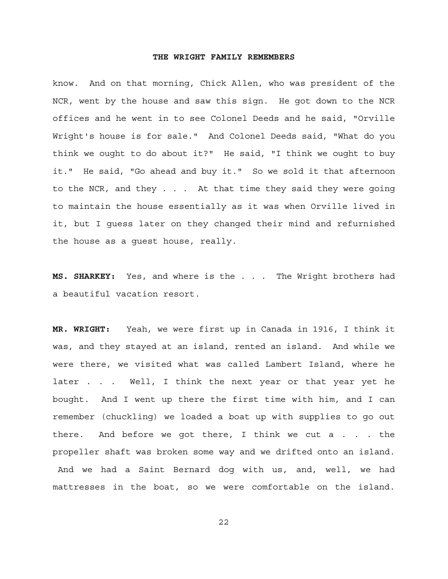know. And on that morning, Chick Allen, who was president of the NCR, went by the house and saw this sign. He got down to the NCR offices and he went in to see Colonel Deeds and he said, "Orville Wright's house is for sale." And Colonel Deeds said, "What do you think we ought to do about it?" He said, "I think we ought to buy it." He said, "Go ahead and buy it." So we sold it that afternoon to the NCR, and they . . . At that time they said they were going to maintain the house essentially as it was when Orville lived in it, but I guess later on they changed their mind and refurnished the house as a guest house, really.

**MS. SHARKEY:** Yes, and where is the . . . The Wright brothers had a beautiful vacation resort.

**MR. WRIGHT:** Yeah, we were first up in Canada in 1916, I think it was, and they stayed at an island, rented an island. And while we were there, we visited what was called Lambert Island, where he later . . . Well, I think the next year or that year yet he bought. And I went up there the first time with him, and I can remember (chuckling) we loaded a boat up with supplies to go out there. And before we got there, I think we cut a . . . the propeller shaft was broken some way and we drifted onto an island. And we had a Saint Bernard dog with us, and, well, we had mattresses in the boat, so we were comfortable on the island.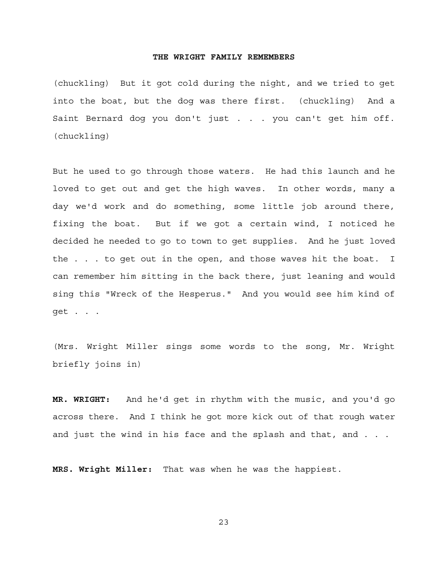(chuckling) But it got cold during the night, and we tried to get into the boat, but the dog was there first. (chuckling) And a Saint Bernard dog you don't just . . . you can't get him off. (chuckling)

But he used to go through those waters. He had this launch and he loved to get out and get the high waves. In other words, many a day we'd work and do something, some little job around there, fixing the boat. But if we got a certain wind, I noticed he decided he needed to go to town to get supplies. And he just loved the . . . to get out in the open, and those waves hit the boat. I can remember him sitting in the back there, just leaning and would sing this "Wreck of the Hesperus." And you would see him kind of get . . .

(Mrs. Wright Miller sings some words to the song, Mr. Wright briefly joins in)

**MR. WRIGHT:** And he'd get in rhythm with the music, and you'd go across there. And I think he got more kick out of that rough water and just the wind in his face and the splash and that, and . . .

**MRS. Wright Miller:** That was when he was the happiest.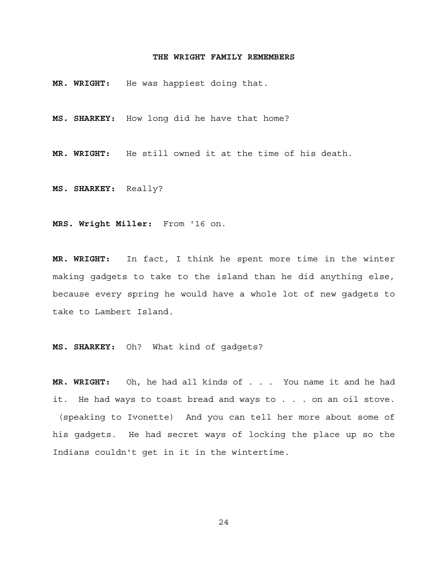**MR. WRIGHT:** He was happiest doing that.

**MS. SHARKEY:** How long did he have that home?

**MR. WRIGHT:** He still owned it at the time of his death.

**MS. SHARKEY:** Really?

**MRS. Wright Miller:** From '16 on.

**MR. WRIGHT:** In fact, I think he spent more time in the winter making gadgets to take to the island than he did anything else, because every spring he would have a whole lot of new gadgets to take to Lambert Island.

**MS. SHARKEY:** Oh? What kind of gadgets?

**MR. WRIGHT:** Oh, he had all kinds of . . . You name it and he had it. He had ways to toast bread and ways to . . . on an oil stove. (speaking to Ivonette) And you can tell her more about some of his gadgets. He had secret ways of locking the place up so the Indians couldn't get in it in the wintertime.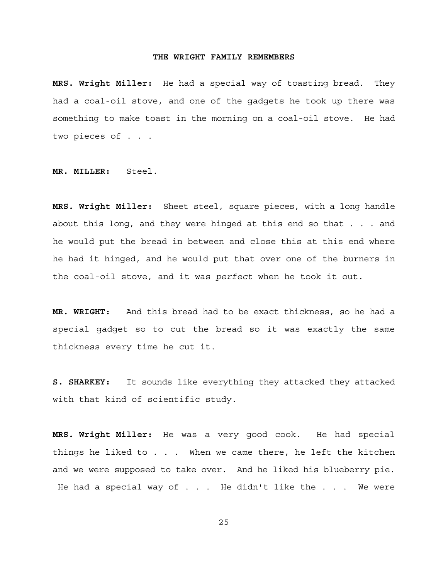**MRS. Wright Miller:** He had a special way of toasting bread. They had a coal-oil stove, and one of the gadgets he took up there was something to make toast in the morning on a coal-oil stove. He had two pieces of . . .

**MR. MILLER:** Steel.

**MRS. Wright Miller:** Sheet steel, square pieces, with a long handle about this long, and they were hinged at this end so that . . . and he would put the bread in between and close this at this end where he had it hinged, and he would put that over one of the burners in the coal-oil stove, and it was *perfect* when he took it out.

**MR. WRIGHT:** And this bread had to be exact thickness, so he had a special gadget so to cut the bread so it was exactly the same thickness every time he cut it.

**S. SHARKEY:** It sounds like everything they attacked they attacked with that kind of scientific study.

**MRS. Wright Miller:** He was a very good cook. He had special things he liked to . . . When we came there, he left the kitchen and we were supposed to take over. And he liked his blueberry pie. He had a special way of . . . He didn't like the . . . We were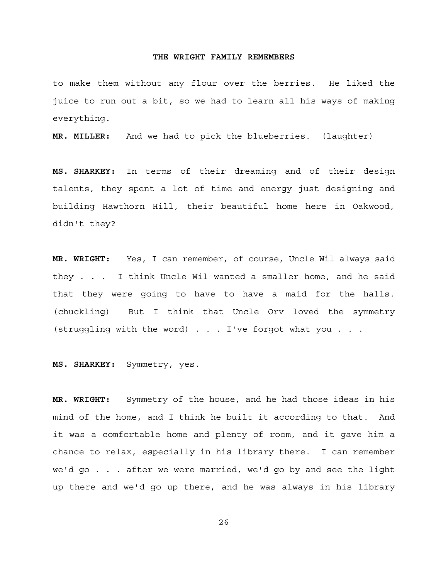to make them without any flour over the berries. He liked the juice to run out a bit, so we had to learn all his ways of making everything.

**MR. MILLER:** And we had to pick the blueberries. (laughter)

**MS. SHARKEY:** In terms of their dreaming and of their design talents, they spent a lot of time and energy just designing and building Hawthorn Hill, their beautiful home here in Oakwood, didn't they?

**MR. WRIGHT:** Yes, I can remember, of course, Uncle Wil always said they . . . I think Uncle Wil wanted a smaller home, and he said that they were going to have to have a maid for the halls. (chuckling) But I think that Uncle Orv loved the symmetry (struggling with the word) . . . I've forgot what you . . .

**MS. SHARKEY:** Symmetry, yes.

**MR. WRIGHT:** Symmetry of the house, and he had those ideas in his mind of the home, and I think he built it according to that. And it was a comfortable home and plenty of room, and it gave him a chance to relax, especially in his library there. I can remember we'd go . . . after we were married, we'd go by and see the light up there and we'd go up there, and he was always in his library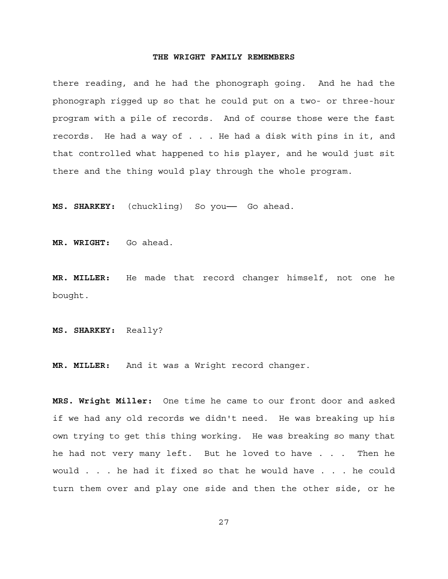there reading, and he had the phonograph going. And he had the phonograph rigged up so that he could put on a two- or three-hour program with a pile of records. And of course those were the fast records. He had a way of . . . He had a disk with pins in it, and that controlled what happened to his player, and he would just sit there and the thing would play through the whole program.

**MS. SHARKEY:** (chuckling) So you── Go ahead.

**MR. WRIGHT:** Go ahead.

**MR. MILLER:** He made that record changer himself, not one he bought.

**MS. SHARKEY:** Really?

**MR. MILLER:** And it was a Wright record changer.

**MRS. Wright Miller:** One time he came to our front door and asked if we had any old records we didn't need. He was breaking up his own trying to get this thing working. He was breaking so many that he had not very many left. But he loved to have . . . Then he would . . . he had it fixed so that he would have . . . he could turn them over and play one side and then the other side, or he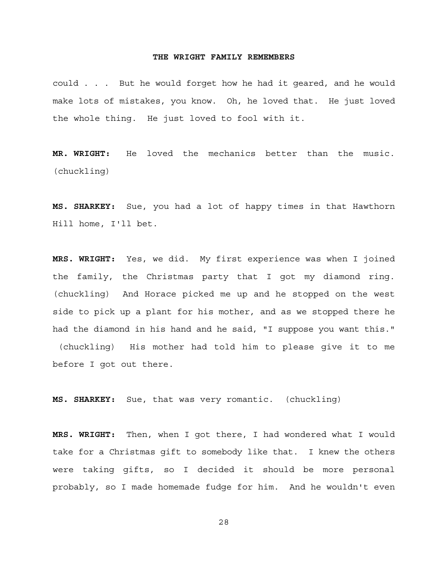could . . . But he would forget how he had it geared, and he would make lots of mistakes, you know. Oh, he loved that. He just loved the whole thing. He just loved to fool with it.

**MR. WRIGHT:** He loved the mechanics better than the music. (chuckling)

**MS. SHARKEY:** Sue, you had a lot of happy times in that Hawthorn Hill home, I'll bet.

**MRS. WRIGHT:** Yes, we did. My first experience was when I joined the family, the Christmas party that I got my diamond ring. (chuckling) And Horace picked me up and he stopped on the west side to pick up a plant for his mother, and as we stopped there he had the diamond in his hand and he said, "I suppose you want this." (chuckling) His mother had told him to please give it to me before I got out there.

**MS. SHARKEY:** Sue, that was very romantic. (chuckling)

**MRS. WRIGHT:** Then, when I got there, I had wondered what I would take for a Christmas gift to somebody like that. I knew the others were taking gifts, so I decided it should be more personal probably, so I made homemade fudge for him. And he wouldn't even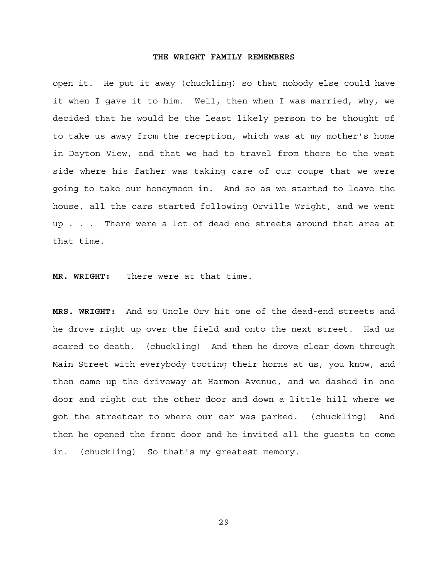open it. He put it away (chuckling) so that nobody else could have it when I gave it to him. Well, then when I was married, why, we decided that he would be the least likely person to be thought of to take us away from the reception, which was at my mother's home in Dayton View, and that we had to travel from there to the west side where his father was taking care of our coupe that we were going to take our honeymoon in. And so as we started to leave the house, all the cars started following Orville Wright, and we went up . . . There were a lot of dead-end streets around that area at that time.

**MR. WRIGHT:** There were at that time.

**MRS. WRIGHT:** And so Uncle Orv hit one of the dead-end streets and he drove right up over the field and onto the next street. Had us scared to death. (chuckling) And then he drove clear down through Main Street with everybody tooting their horns at us, you know, and then came up the driveway at Harmon Avenue, and we dashed in one door and right out the other door and down a little hill where we got the streetcar to where our car was parked. (chuckling) And then he opened the front door and he invited all the guests to come in. (chuckling) So that's my greatest memory.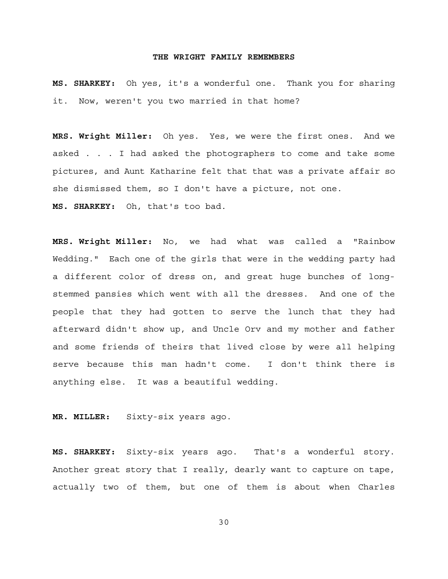**MS. SHARKEY:** Oh yes, it's a wonderful one. Thank you for sharing it. Now, weren't you two married in that home?

**MRS. Wright Miller:** Oh yes. Yes, we were the first ones. And we asked . . . I had asked the photographers to come and take some pictures, and Aunt Katharine felt that that was a private affair so she dismissed them, so I don't have a picture, not one. **MS. SHARKEY:** Oh, that's too bad.

**MRS. Wright Miller:** No, we had what was called a "Rainbow Wedding." Each one of the girls that were in the wedding party had a different color of dress on, and great huge bunches of longstemmed pansies which went with all the dresses. And one of the people that they had gotten to serve the lunch that they had afterward didn't show up, and Uncle Orv and my mother and father and some friends of theirs that lived close by were all helping serve because this man hadn't come. I don't think there is anything else. It was a beautiful wedding.

**MR. MILLER:** Sixty-six years ago.

**MS. SHARKEY:** Sixty-six years ago. That's a wonderful story. Another great story that I really, dearly want to capture on tape, actually two of them, but one of them is about when Charles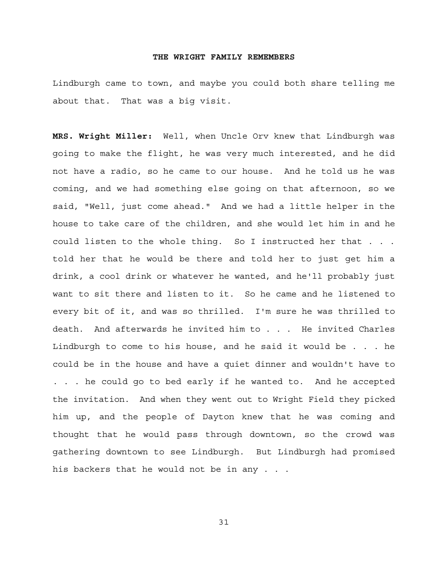Lindburgh came to town, and maybe you could both share telling me about that. That was a big visit.

**MRS. Wright Miller:** Well, when Uncle Orv knew that Lindburgh was going to make the flight, he was very much interested, and he did not have a radio, so he came to our house. And he told us he was coming, and we had something else going on that afternoon, so we said, "Well, just come ahead." And we had a little helper in the house to take care of the children, and she would let him in and he could listen to the whole thing. So I instructed her that . . . told her that he would be there and told her to just get him a drink, a cool drink or whatever he wanted, and he'll probably just want to sit there and listen to it. So he came and he listened to every bit of it, and was so thrilled. I'm sure he was thrilled to death. And afterwards he invited him to . . . He invited Charles Lindburgh to come to his house, and he said it would be . . . he could be in the house and have a quiet dinner and wouldn't have to . . . he could go to bed early if he wanted to. And he accepted the invitation. And when they went out to Wright Field they picked him up, and the people of Dayton knew that he was coming and thought that he would pass through downtown, so the crowd was gathering downtown to see Lindburgh. But Lindburgh had promised his backers that he would not be in any . . .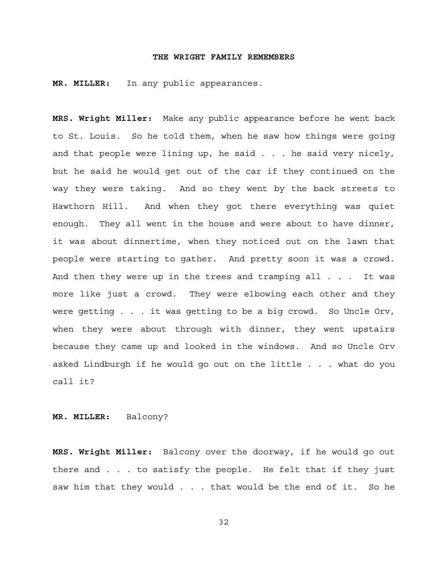**MR. MILLER:** In any public appearances.

**MRS. Wright Miller:** Make any public appearance before he went back to St. Louis. So he told them, when he saw how things were going and that people were lining up, he said  $\ldots$  he said very nicely, but he said he would get out of the car if they continued on the way they were taking. And so they went by the back streets to Hawthorn Hill. And when they got there everything was quiet enough. They all went in the house and were about to have dinner, it was about dinnertime, when they noticed out on the lawn that people were starting to gather. And pretty soon it was a crowd. And then they were up in the trees and tramping all . . . It was more like just a crowd. They were elbowing each other and they were getting . . . it was getting to be a big crowd. So Uncle Orv, when they were about through with dinner, they went upstairs because they came up and looked in the windows. And so Uncle Orv asked Lindburgh if he would go out on the little . . . what do you call it?

#### **MR. MILLER:** Balcony?

**MRS. Wright Miller:** Balcony over the doorway, if he would go out there and . . . to satisfy the people. He felt that if they just saw him that they would . . . that would be the end of it. So he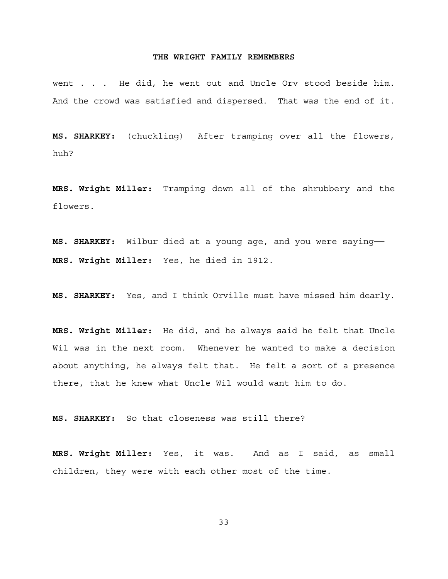went . . . He did, he went out and Uncle Orv stood beside him. And the crowd was satisfied and dispersed. That was the end of it.

**MS. SHARKEY:** (chuckling) After tramping over all the flowers, huh?

**MRS. Wright Miller:** Tramping down all of the shrubbery and the flowers.

**MS. SHARKEY:** Wilbur died at a young age, and you were saying── **MRS. Wright Miller:** Yes, he died in 1912.

**MS. SHARKEY:** Yes, and I think Orville must have missed him dearly.

**MRS. Wright Miller:** He did, and he always said he felt that Uncle Wil was in the next room. Whenever he wanted to make a decision about anything, he always felt that. He felt a sort of a presence there, that he knew what Uncle Wil would want him to do.

**MS. SHARKEY:** So that closeness was still there?

**MRS. Wright Miller:** Yes, it was. And as I said, as small children, they were with each other most of the time.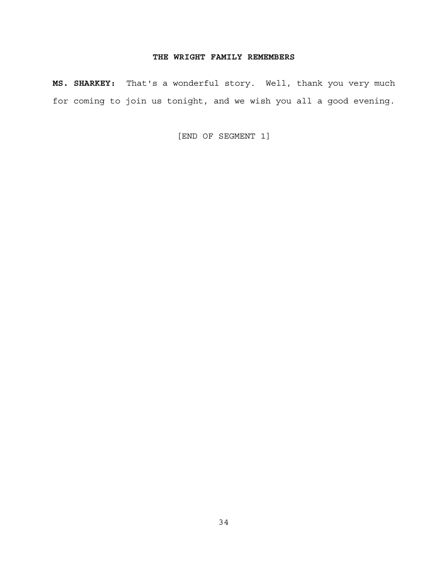**MS. SHARKEY:** That's a wonderful story. Well, thank you very much for coming to join us tonight, and we wish you all a good evening.

[END OF SEGMENT 1]